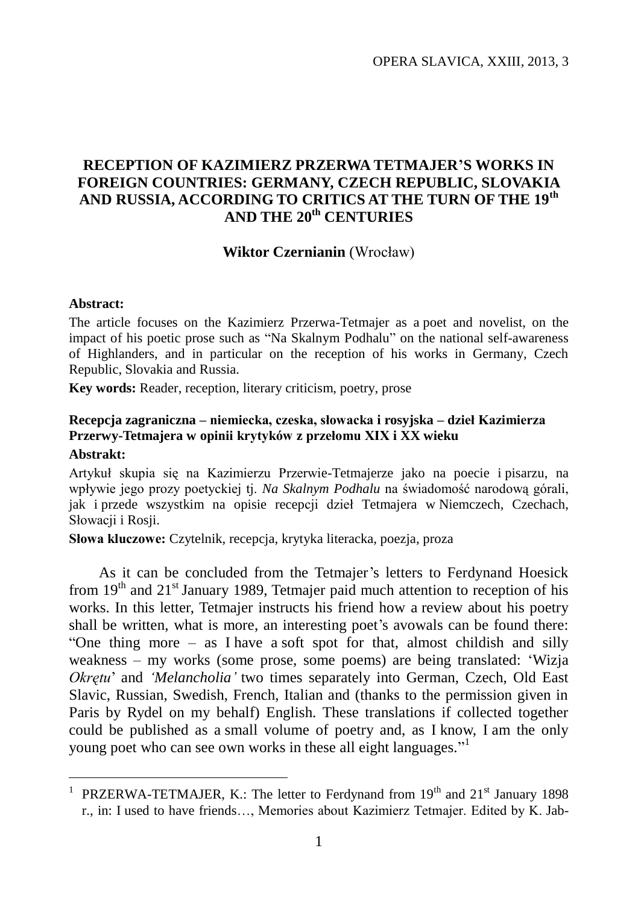# **RECEPTION OF KAZIMIERZ PRZERWA TETMAJER'S WORKS IN FOREIGN COUNTRIES: GERMANY, CZECH REPUBLIC, SLOVAKIA AND RUSSIA, ACCORDING TO CRITICS AT THE TURN OF THE 19th AND THE 20th CENTURIES**

## **Wiktor Czernianin** (Wrocław)

### **Abstract:**

<u>.</u>

The article focuses on the Kazimierz Przerwa-Tetmajer as a poet and novelist, on the impact of his poetic prose such as "Na Skalnym Podhalu" on the national self-awareness of Highlanders, and in particular on the reception of his works in Germany, Czech Republic, Slovakia and Russia.

**Key words:** Reader, reception, literary criticism, poetry, prose

## **Recepcja zagraniczna – niemiecka, czeska, słowacka i rosyjska – dzieł Kazimierza Przerwy-Tetmajera w opinii krytyków z przełomu XIX i XX wieku Abstrakt:**

# Artykuł skupia się na Kazimierzu Przerwie-Tetmajerze jako na poecie i pisarzu, na wpływie jego prozy poetyckiej tj. *Na Skalnym Podhalu* na świadomość narodową górali, jak i przede wszystkim na opisie recepcji dzieł Tetmajera w Niemczech, Czechach, Słowacji i Rosji.

**Słowa kluczowe:** Czytelnik, recepcja, krytyka literacka, poezja, proza

As it can be concluded from the Tetmajer's letters to Ferdynand Hoesick from  $19<sup>th</sup>$  and  $21<sup>st</sup>$  January 1989, Tetmajer paid much attention to reception of his works. In this letter, Tetmajer instructs his friend how a review about his poetry shall be written, what is more, an interesting poet's avowals can be found there: "One thing more – as I have a soft spot for that, almost childish and silly weakness – my works (some prose, some poems) are being translated: 'Wizja *Okrętu*' and *'Melancholia'* two times separately into German, Czech, Old East Slavic, Russian, Swedish, French, Italian and (thanks to the permission given in Paris by Rydel on my behalf) English. These translations if collected together could be published as a small volume of poetry and, as I know, I am the only young poet who can see own works in these all eight languages."<sup>1</sup>

<sup>&</sup>lt;sup>1</sup> PRZERWA-TETMAJER, K.: The letter to Ferdynand from  $19<sup>th</sup>$  and  $21<sup>st</sup>$  January 1898 r., in: I used to have friends…, Memories about Kazimierz Tetmajer. Edited by K. Jab-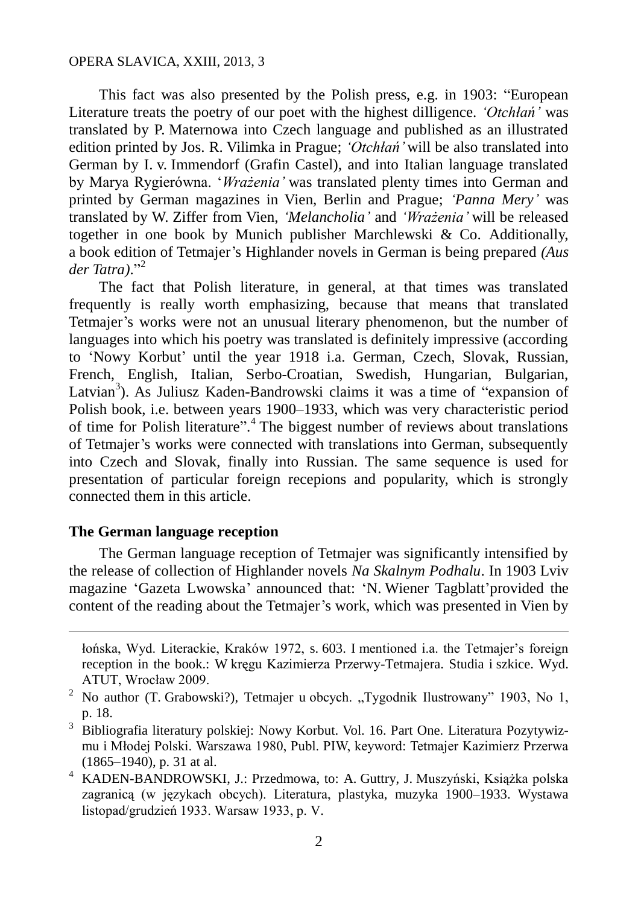#### OPERA SLAVICA, XXIII, 2013, 3

This fact was also presented by the Polish press, e.g. in 1903: "European Literature treats the poetry of our poet with the highest dilligence. *'Otchłań'* was translated by P. Maternowa into Czech language and published as an illustrated edition printed by Jos. R. Vilimka in Prague; *'Otchłań'* will be also translated into German by I. v. Immendorf (Grafin Castel), and into Italian language translated by Marya Rygierówna. '*Wrażenia'* was translated plenty times into German and printed by German magazines in Vien, Berlin and Prague; *'Panna Mery'* was translated by W. Ziffer from Vien, *'Melancholia'* and *'Wrażenia'* will be released together in one book by Munich publisher Marchlewski & Co. Additionally, a book edition of Tetmajer's Highlander novels in German is being prepared *(Aus der Tatra)*." 2

The fact that Polish literature, in general, at that times was translated frequently is really worth emphasizing, because that means that translated Tetmajer's works were not an unusual literary phenomenon, but the number of languages into which his poetry was translated is definitely impressive (according to 'Nowy Korbut' until the year 1918 i.a. German, Czech, Slovak, Russian, French, English, Italian, Serbo-Croatian, Swedish, Hungarian, Bulgarian, Latvian<sup>3</sup>). As Juliusz Kaden-Bandrowski claims it was a time of "expansion of Polish book, i.e. between years 1900–1933, which was very characteristic period of time for Polish literature". 4 The biggest number of reviews about translations of Tetmajer's works were connected with translations into German, subsequently into Czech and Slovak, finally into Russian. The same sequence is used for presentation of particular foreign recepions and popularity, which is strongly connected them in this article.

# **The German language reception**

<u>.</u>

The German language reception of Tetmajer was significantly intensified by the release of collection of Highlander novels *Na Skalnym Podhalu*. In 1903 Lviv magazine 'Gazeta Lwowska' announced that: 'N. Wiener Tagblatt'provided the content of the reading about the Tetmajer's work, which was presented in Vien by

łońska, Wyd. Literackie, Kraków 1972, s. 603. I mentioned i.a. the Tetmajer's foreign reception in the book.: W kręgu Kazimierza Przerwy-Tetmajera. Studia i szkice. Wyd. ATUT, Wrocław 2009.

<sup>&</sup>lt;sup>2</sup> No author (T. Grabowski?), Tetmajer u obcych. "Tygodnik Ilustrowany" 1903, No 1, p. 18.

<sup>&</sup>lt;sup>3</sup> Bibliografia literatury polskiej: Nowy Korbut. Vol. 16. Part One. Literatura Pozytywizmu i Młodej Polski. Warszawa 1980, Publ. PIW, keyword: Tetmajer Kazimierz Przerwa (1865–1940), p. 31 at al.

<sup>4</sup> KADEN-BANDROWSKI, J.: Przedmowa, to: A. Guttry, J. Muszyński, Książka polska zagranicą (w językach obcych). Literatura, plastyka, muzyka 1900–1933. Wystawa listopad/grudzień 1933. Warsaw 1933, p. V.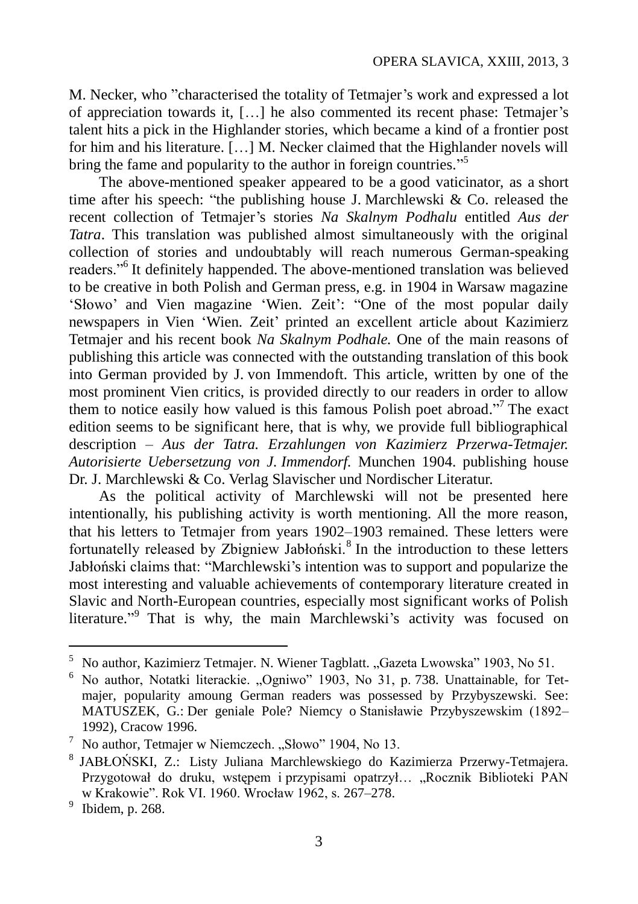M. Necker, who "characterised the totality of Tetmajer's work and expressed a lot of appreciation towards it, […] he also commented its recent phase: Tetmajer's talent hits a pick in the Highlander stories, which became a kind of a frontier post for him and his literature. […] M. Necker claimed that the Highlander novels will bring the fame and popularity to the author in foreign countries."<sup>5</sup>

The above-mentioned speaker appeared to be a good vaticinator, as a short time after his speech: "the publishing house J. Marchlewski & Co. released the recent collection of Tetmajer's stories *Na Skalnym Podhalu* entitled *Aus der Tatra*. This translation was published almost simultaneously with the original collection of stories and undoubtably will reach numerous German-speaking readers."<sup>6</sup> It definitely happended. The above-mentioned translation was believed to be creative in both Polish and German press, e.g. in 1904 in Warsaw magazine 'Słowo' and Vien magazine 'Wien. Zeit': "One of the most popular daily newspapers in Vien 'Wien. Zeit' printed an excellent article about Kazimierz Tetmajer and his recent book *Na Skalnym Podhale.* One of the main reasons of publishing this article was connected with the outstanding translation of this book into German provided by J. von Immendoft. This article, written by one of the most prominent Vien critics, is provided directly to our readers in order to allow them to notice easily how valued is this famous Polish poet abroad."<sup>7</sup> The exact edition seems to be significant here, that is why, we provide full bibliographical description – *Aus der Tatra. Erzahlungen von Kazimierz Przerwa-Tetmajer. Autorisierte Uebersetzung von J. Immendorf.* Munchen 1904. publishing house Dr. J. Marchlewski & Co. Verlag Slavischer und Nordischer Literatur.

As the political activity of Marchlewski will not be presented here intentionally, his publishing activity is worth mentioning. All the more reason, that his letters to Tetmajer from years 1902–1903 remained. These letters were fortunatelly released by Zbigniew Jabłoński.<sup>8</sup> In the introduction to these letters Jabłoński claims that: "Marchlewski's intention was to support and popularize the most interesting and valuable achievements of contemporary literature created in Slavic and North-European countries, especially most significant works of Polish literature."<sup>9</sup> That is why, the main Marchlewski's activity was focused on

<u>.</u>

<sup>&</sup>lt;sup>5</sup> No author, Kazimierz Tetmajer. N. Wiener Tagblatt. "Gazeta Lwowska" 1903, No 51.

No author, Notatki literackie. "Ogniwo" 1903, No 31, p. 738. Unattainable, for Tetmajer, popularity amoung German readers was possessed by Przybyszewski. See: MATUSZEK, G.: Der geniale Pole? Niemcy o Stanisławie Przybyszewskim (1892– 1992), Cracow 1996.

No author, Tetmajer w Niemczech. "Słowo" 1904, No 13.

<sup>8</sup> JABŁOŃSKI, Z.: Listy Juliana Marchlewskiego do Kazimierza Przerwy-Tetmajera. Przygotował do druku, wstępem i przypisami opatrzył... "Rocznik Biblioteki PAN w Krakowie". Rok VI. 1960. Wrocław 1962, s. 267–278.

 $9$  Ibidem, p. 268.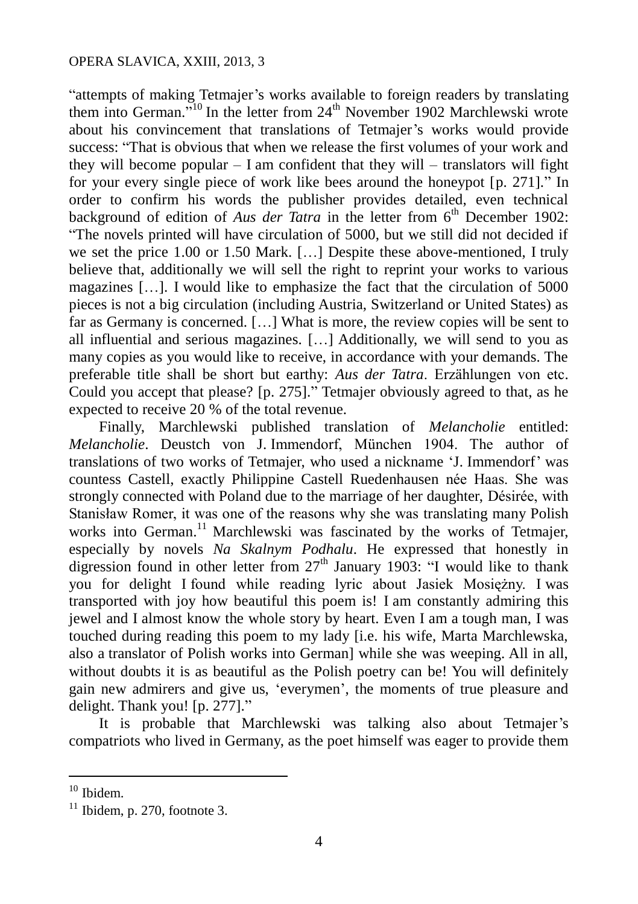"attempts of making Tetmajer's works available to foreign readers by translating them into German."<sup>10</sup> In the letter from  $24<sup>th</sup>$  November 1902 Marchlewski wrote about his convincement that translations of Tetmajer's works would provide success: "That is obvious that when we release the first volumes of your work and they will become popular  $- I$  am confident that they will – translators will fight for your every single piece of work like bees around the honeypot [p. 271]." In order to confirm his words the publisher provides detailed, even technical background of edition of *Aus der Tatra* in the letter from  $6<sup>th</sup>$  December 1902: "The novels printed will have circulation of 5000, but we still did not decided if we set the price 1.00 or 1.50 Mark. [...] Despite these above-mentioned, I truly believe that, additionally we will sell the right to reprint your works to various magazines […]. I would like to emphasize the fact that the circulation of 5000 pieces is not a big circulation (including Austria, Switzerland or United States) as far as Germany is concerned. […] What is more, the review copies will be sent to all influential and serious magazines. […] Additionally, we will send to you as many copies as you would like to receive, in accordance with your demands. The preferable title shall be short but earthy: *Aus der Tatra*. Erzählungen von etc. Could you accept that please? [p. 275]." Tetmajer obviously agreed to that, as he expected to receive 20 % of the total revenue.

Finally, Marchlewski published translation of *Melancholie* entitled: *Melancholie*. Deustch von J. Immendorf, München 1904. The author of translations of two works of Tetmajer, who used a nickname 'J. Immendorf' was countess Castell, exactly Philippine Castell Ruedenhausen née Haas. She was strongly connected with Poland due to the marriage of her daughter, Désirée, with Stanisław Romer, it was one of the reasons why she was translating many Polish works into German. <sup>11</sup> Marchlewski was fascinated by the works of Tetmajer, especially by novels *Na Skalnym Podhalu*. He expressed that honestly in digression found in other letter from  $27<sup>th</sup>$  January 1903: "I would like to thank you for delight I found while reading lyric about Jasiek Mosiężny. I was transported with joy how beautiful this poem is! I am constantly admiring this jewel and I almost know the whole story by heart. Even I am a tough man, I was touched during reading this poem to my lady [i.e. his wife, Marta Marchlewska, also a translator of Polish works into German] while she was weeping. All in all, without doubts it is as beautiful as the Polish poetry can be! You will definitely gain new admirers and give us, 'everymen', the moments of true pleasure and delight. Thank you! [p. 277]."

It is probable that Marchlewski was talking also about Tetmajer's compatriots who lived in Germany, as the poet himself was eager to provide them

<sup>&</sup>lt;sup>10</sup> Ibidem.

 $11$  Ibidem, p. 270, footnote 3.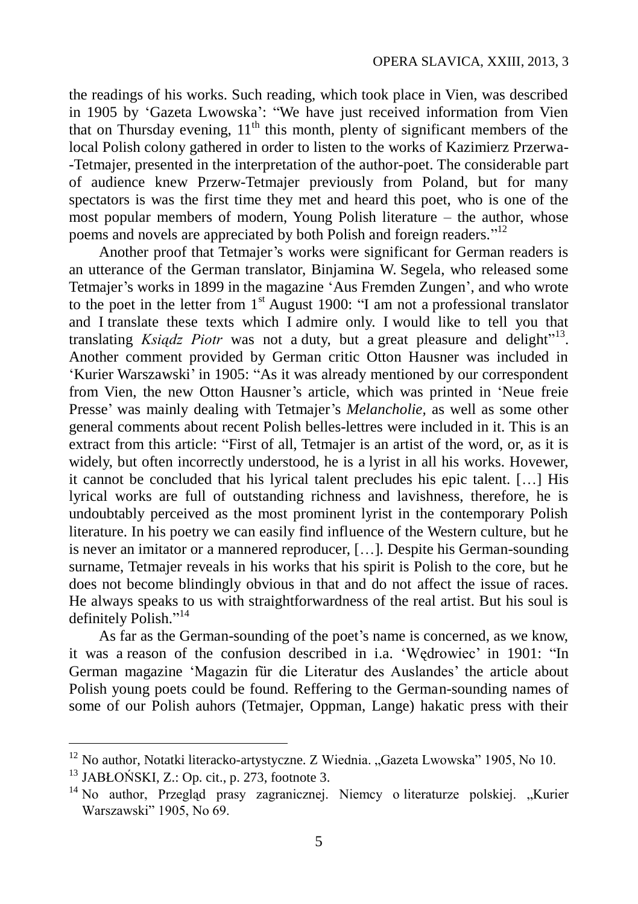the readings of his works. Such reading, which took place in Vien, was described in 1905 by 'Gazeta Lwowska': "We have just received information from Vien that on Thursday evening,  $11<sup>th</sup>$  this month, plenty of significant members of the local Polish colony gathered in order to listen to the works of Kazimierz Przerwa- -Tetmajer, presented in the interpretation of the author-poet. The considerable part of audience knew Przerw-Tetmajer previously from Poland, but for many spectators is was the first time they met and heard this poet, who is one of the most popular members of modern, Young Polish literature – the author, whose poems and novels are appreciated by both Polish and foreign readers."<sup>12</sup>

Another proof that Tetmajer's works were significant for German readers is an utterance of the German translator, Binjamina W. Segela, who released some Tetmajer's works in 1899 in the magazine 'Aus Fremden Zungen', and who wrote to the poet in the letter from  $1<sup>st</sup>$  August 1900: "I am not a professional translator and I translate these texts which I admire only. I would like to tell you that translating Ksiądz Piotr was not a duty, but a great pleasure and delight"<sup>13</sup>. Another comment provided by German critic Otton Hausner was included in 'Kurier Warszawski' in 1905: "As it was already mentioned by our correspondent from Vien, the new Otton Hausner's article, which was printed in 'Neue freie Presse' was mainly dealing with Tetmajer's *Melancholie,* as well as some other general comments about recent Polish belles-lettres were included in it. This is an extract from this article: "First of all, Tetmajer is an artist of the word, or, as it is widely, but often incorrectly understood, he is a lyrist in all his works. Hovewer, it cannot be concluded that his lyrical talent precludes his epic talent. […] His lyrical works are full of outstanding richness and lavishness, therefore, he is undoubtably perceived as the most prominent lyrist in the contemporary Polish literature. In his poetry we can easily find influence of the Western culture, but he is never an imitator or a mannered reproducer, […]. Despite his German-sounding surname, Tetmajer reveals in his works that his spirit is Polish to the core, but he does not become blindingly obvious in that and do not affect the issue of races. He always speaks to us with straightforwardness of the real artist. But his soul is definitely Polish."<sup>14</sup>

As far as the German-sounding of the poet's name is concerned, as we know, it was a reason of the confusion described in i.a. 'Wędrowiec' in 1901: "In German magazine 'Magazin für die Literatur des Auslandes' the article about Polish young poets could be found. Reffering to the German-sounding names of some of our Polish auhors (Tetmajer, Oppman, Lange) hakatic press with their

 $12$  No author, Notatki literacko-artystyczne. Z Wiednia. "Gazeta Lwowska" 1905, No 10.

<sup>13</sup> JABŁOŃSKI, Z.: Op. cit., p. 273, footnote 3.

<sup>&</sup>lt;sup>14</sup> No author, Przegląd prasy zagranicznej. Niemcy o literaturze polskiej. "Kurier Warszawski" 1905, No 69.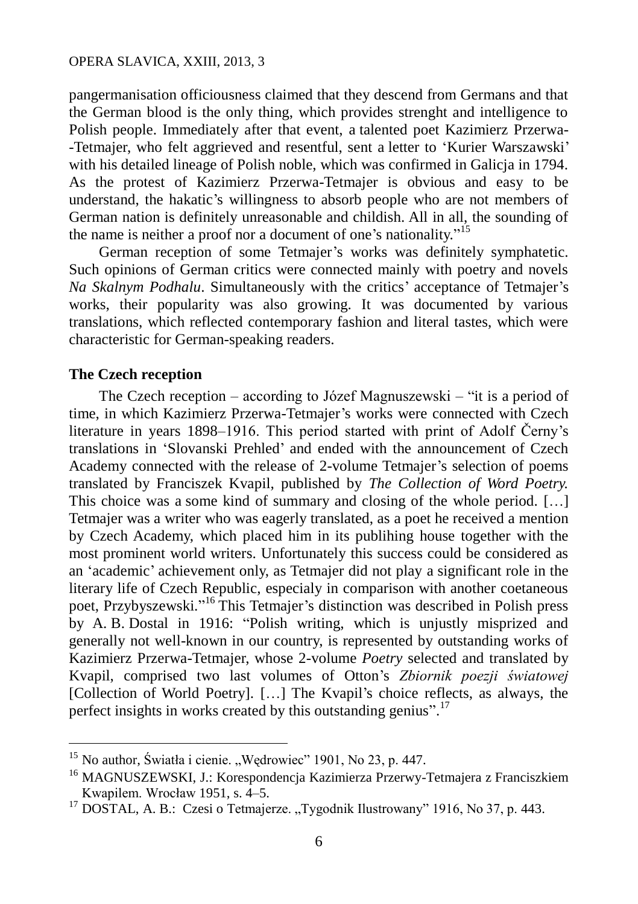### OPERA SLAVICA, XXIII, 2013, 3

pangermanisation officiousness claimed that they descend from Germans and that the German blood is the only thing, which provides strenght and intelligence to Polish people. Immediately after that event, a talented poet Kazimierz Przerwa- -Tetmajer, who felt aggrieved and resentful, sent a letter to 'Kurier Warszawski' with his detailed lineage of Polish noble, which was confirmed in Galicja in 1794. As the protest of Kazimierz Przerwa-Tetmajer is obvious and easy to be understand, the hakatic's willingness to absorb people who are not members of German nation is definitely unreasonable and childish. All in all, the sounding of the name is neither a proof nor a document of one's nationality."<sup>15</sup>

German reception of some Tetmajer's works was definitely symphatetic. Such opinions of German critics were connected mainly with poetry and novels *Na Skalnym Podhalu*. Simultaneously with the critics' acceptance of Tetmajer's works, their popularity was also growing. It was documented by various translations, which reflected contemporary fashion and literal tastes, which were characteristic for German-speaking readers.

### **The Czech reception**

1

The Czech reception – according to Józef Magnuszewski – "it is a period of time, in which Kazimierz Przerwa-Tetmajer's works were connected with Czech literature in years 1898–1916. This period started with print of Adolf Černy's translations in 'Slovanski Prehled' and ended with the announcement of Czech Academy connected with the release of 2-volume Tetmajer's selection of poems translated by Franciszek Kvapil, published by *The Collection of Word Poetry.* This choice was a some kind of summary and closing of the whole period. […] Tetmajer was a writer who was eagerly translated, as a poet he received a mention by Czech Academy, which placed him in its publihing house together with the most prominent world writers. Unfortunately this success could be considered as an 'academic' achievement only, as Tetmajer did not play a significant role in the literary life of Czech Republic, especialy in comparison with another coetaneous poet, Przybyszewski."<sup>16</sup> This Tetmajer's distinction was described in Polish press by A. B. Dostal in 1916: "Polish writing, which is unjustly misprized and generally not well-known in our country, is represented by outstanding works of Kazimierz Przerwa-Tetmajer, whose 2-volume *Poetry* selected and translated by Kvapil, comprised two last volumes of Otton's *Zbiornik poezji światowej*  [Collection of World Poetry]. [...] The Kvapil's choice reflects, as always, the perfect insights in works created by this outstanding genius".<sup>17</sup>

 $15$  No author, Światła i cienie. "Wędrowiec" 1901, No 23, p. 447.

<sup>16</sup> MAGNUSZEWSKI, J.: Korespondencja Kazimierza Przerwy-Tetmajera z Franciszkiem Kwapilem. Wrocław 1951, s. 4–5.

 $17$  DOSTAL, A. B.: Czesi o Tetmajerze. ..Tygodnik Ilustrowany" 1916, No 37, p. 443.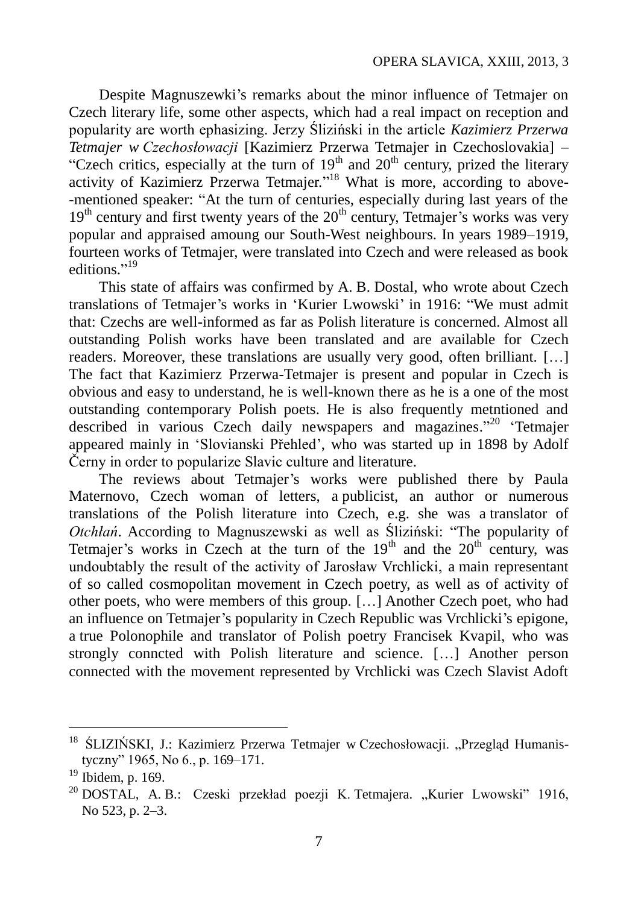Despite Magnuszewki's remarks about the minor influence of Tetmajer on Czech literary life, some other aspects, which had a real impact on reception and popularity are worth ephasizing. Jerzy Śliziński in the article *Kazimierz Przerwa Tetmajer w Czechosłowacji* [Kazimierz Przerwa Tetmajer in Czechoslovakia] – "Czech critics, especially at the turn of  $19<sup>th</sup>$  and  $20<sup>th</sup>$  century, prized the literary activity of Kazimierz Przerwa Tetmajer."<sup>18</sup> What is more, according to above--mentioned speaker: "At the turn of centuries, especially during last years of the  $19<sup>th</sup>$  century and first twenty years of the  $20<sup>th</sup>$  century, Tetmajer's works was very popular and appraised amoung our South-West neighbours. In years 1989–1919, fourteen works of Tetmajer, were translated into Czech and were released as book editions."<sup>19</sup>

This state of affairs was confirmed by A. B. Dostal, who wrote about Czech translations of Tetmajer's works in 'Kurier Lwowski' in 1916: "We must admit that: Czechs are well-informed as far as Polish literature is concerned. Almost all outstanding Polish works have been translated and are available for Czech readers. Moreover, these translations are usually very good, often brilliant. […] The fact that Kazimierz Przerwa-Tetmajer is present and popular in Czech is obvious and easy to understand, he is well-known there as he is a one of the most outstanding contemporary Polish poets. He is also frequently metntioned and described in various Czech daily newspapers and magazines."<sup>20</sup> 'Tetmajer appeared mainly in 'Slovianski Přehled', who was started up in 1898 by Adolf Černy in order to popularize Slavic culture and literature.

The reviews about Tetmajer's works were published there by Paula Maternovo, Czech woman of letters, a publicist, an author or numerous translations of the Polish literature into Czech, e.g. she was a translator of *Otchłań*. According to Magnuszewski as well as Śliziński: "The popularity of Tetmajer's works in Czech at the turn of the  $19<sup>th</sup>$  and the  $20<sup>th</sup>$  century, was undoubtably the result of the activity of Jarosław Vrchlicki, a main representant of so called cosmopolitan movement in Czech poetry, as well as of activity of other poets, who were members of this group. […] Another Czech poet, who had an influence on Tetmajer's popularity in Czech Republic was Vrchlicki's epigone, a true Polonophile and translator of Polish poetry Francisek Kvapil, who was strongly conncted with Polish literature and science. […] Another person connected with the movement represented by Vrchlicki was Czech Slavist Adoft

<u>.</u>

<sup>&</sup>lt;sup>18</sup> ŚLIZIŃSKI, J.: Kazimierz Przerwa Tetmajer w Czechosłowacji. "Przegląd Humanistyczny" 1965, No 6., p. 169–171.

<sup>19</sup> Ibidem, p. 169.

<sup>&</sup>lt;sup>20</sup> DOSTAL, A. B.: Czeski przekład poezji K. Tetmajera. "Kurier Lwowski" 1916, No 523, p. 2–3.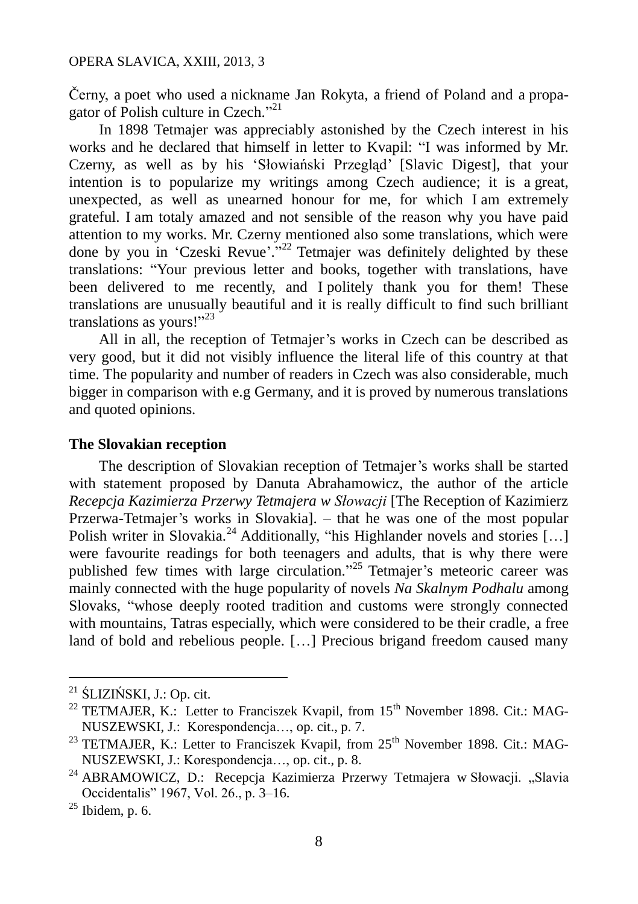Černy, a poet who used a nickname Jan Rokyta, a friend of Poland and a propagator of Polish culture in Czech." 21

In 1898 Tetmajer was appreciably astonished by the Czech interest in his works and he declared that himself in letter to Kvapil: "I was informed by Mr. Czerny, as well as by his 'Słowiański Przegląd' [Slavic Digest], that your intention is to popularize my writings among Czech audience; it is a great, unexpected, as well as unearned honour for me, for which I am extremely grateful. I am totaly amazed and not sensible of the reason why you have paid attention to my works. Mr. Czerny mentioned also some translations, which were done by you in 'Czeski Revue'."<sup>22</sup> Tetmajer was definitely delighted by these translations: "Your previous letter and books, together with translations, have been delivered to me recently, and I politely thank you for them! These translations are unusually beautiful and it is really difficult to find such brilliant translations as yours!"23

All in all, the reception of Tetmajer's works in Czech can be described as very good, but it did not visibly influence the literal life of this country at that time. The popularity and number of readers in Czech was also considerable, much bigger in comparison with e.g Germany, and it is proved by numerous translations and quoted opinions.

## **The Slovakian reception**

The description of Slovakian reception of Tetmajer's works shall be started with statement proposed by Danuta Abrahamowicz, the author of the article *Recepcja Kazimierza Przerwy Tetmajera w Słowacji* [The Reception of Kazimierz Przerwa-Tetmajer's works in Slovakia]. – that he was one of the most popular Polish writer in Slovakia.<sup>24</sup> Additionally, "his Highlander novels and stories [...] were favourite readings for both teenagers and adults, that is why there were published few times with large circulation."<sup>25</sup> Tetmajer's meteoric career was mainly connected with the huge popularity of novels *Na Skalnym Podhalu* among Slovaks, "whose deeply rooted tradition and customs were strongly connected with mountains, Tatras especially, which were considered to be their cradle, a free land of bold and rebelious people. […] Precious brigand freedom caused many

<u>.</u>

<sup>21</sup> ŚLIZIŃSKI, J.: Op. cit.

<sup>&</sup>lt;sup>22</sup> TETMAJER, K.: Letter to Franciszek Kvapil, from  $15<sup>th</sup>$  November 1898. Cit.: MAG-NUSZEWSKI, J.: Korespondencja…, op. cit., p. 7.

<sup>&</sup>lt;sup>23</sup> TETMAJER, K.: Letter to Franciszek Kvapil, from  $25<sup>th</sup>$  November 1898. Cit.: MAG-NUSZEWSKI, J.: Korespondencja…, op. cit., p. 8.

<sup>&</sup>lt;sup>24</sup> ABRAMOWICZ, D.: Recepcja Kazimierza Przerwy Tetmajera w Słowacji. "Slavia Occidentalis" 1967, Vol. 26., p. 3–16.

 $25$  Ibidem, p. 6.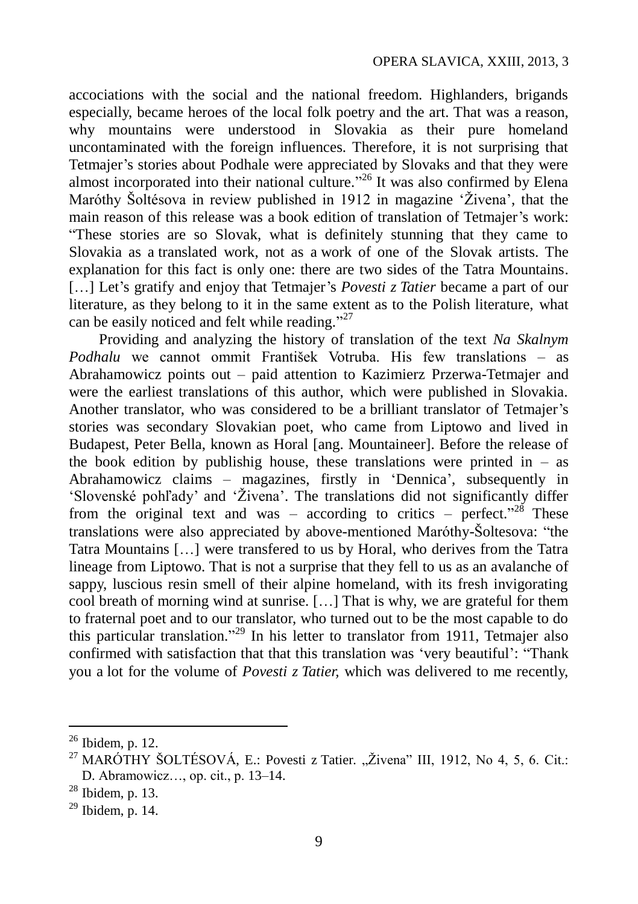accociations with the social and the national freedom. Highlanders, brigands especially, became heroes of the local folk poetry and the art. That was a reason, why mountains were understood in Slovakia as their pure homeland uncontaminated with the foreign influences. Therefore, it is not surprising that Tetmajer's stories about Podhale were appreciated by Slovaks and that they were almost incorporated into their national culture."<sup>26</sup> It was also confirmed by Elena Maróthy Šoltésova in review published in 1912 in magazine 'Živena', that the main reason of this release was a book edition of translation of Tetmajer's work: "These stories are so Slovak, what is definitely stunning that they came to Slovakia as a translated work, not as a work of one of the Slovak artists. The explanation for this fact is only one: there are two sides of the Tatra Mountains. […] Let's gratify and enjoy that Tetmajer's *Povesti z Tatier* became a part of our literature, as they belong to it in the same extent as to the Polish literature, what can be easily noticed and felt while reading."<sup>27</sup>

Providing and analyzing the history of translation of the text *Na Skalnym Podhalu* we cannot ommit František Votruba. His few translations – as Abrahamowicz points out – paid attention to Kazimierz Przerwa-Tetmajer and were the earliest translations of this author, which were published in Slovakia. Another translator, who was considered to be a brilliant translator of Tetmajer's stories was secondary Slovakian poet, who came from Liptowo and lived in Budapest, Peter Bella, known as Horal [ang. Mountaineer]. Before the release of the book edition by publishig house, these translations were printed in – as Abrahamowicz claims – magazines, firstly in 'Dennica', subsequently in 'Slovenské pohľady' and 'Živena'. The translations did not significantly differ from the original text and was – according to critics – perfect."<sup>28</sup> These translations were also appreciated by above-mentioned Maróthy-Šoltesova: "the Tatra Mountains […] were transfered to us by Horal, who derives from the Tatra lineage from Liptowo. That is not a surprise that they fell to us as an avalanche of sappy, luscious resin smell of their alpine homeland, with its fresh invigorating cool breath of morning wind at sunrise. […] That is why, we are grateful for them to fraternal poet and to our translator, who turned out to be the most capable to do this particular translation." <sup>29</sup> In his letter to translator from 1911, Tetmajer also confirmed with satisfaction that that this translation was 'very beautiful': "Thank you a lot for the volume of *Povesti z Tatier,* which was delivered to me recently,

 $26$  Ibidem, p. 12.

<sup>&</sup>lt;sup>27</sup> MARÓTHY ŠOLTÉSOVÁ, E.: Povesti z Tatier. "Živena" III, 1912, No 4, 5, 6. Cit.: D. Abramowicz…, op. cit., p. 13–14.

<sup>28</sup> Ibidem, p. 13.

 $29$  Ibidem, p. 14.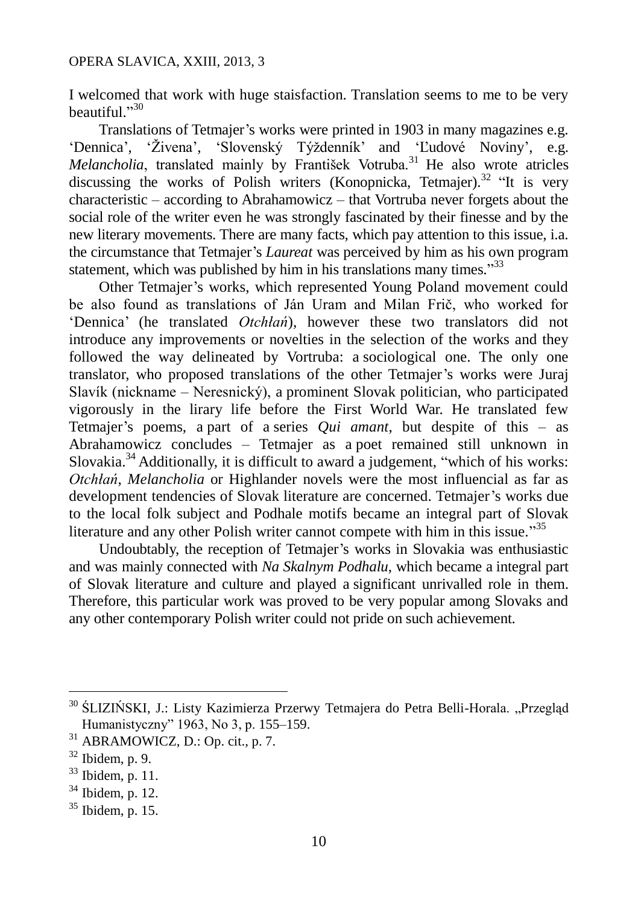I welcomed that work with huge staisfaction. Translation seems to me to be very beautiful."30

Translations of Tetmajer's works were printed in 1903 in many magazines e.g. 'Dennica', 'Živena', 'Slovenský Týždenník' and 'Ľudové Noviny', e.g. *Melancholia*, translated mainly by František Votruba.<sup>31</sup> He also wrote atricles discussing the works of Polish writers (Konopnicka, Tetmajer).<sup>32</sup> "It is very characteristic – according to Abrahamowicz – that Vortruba never forgets about the social role of the writer even he was strongly fascinated by their finesse and by the new literary movements. There are many facts, which pay attention to this issue, i.a. the circumstance that Tetmajer's *Laureat* was perceived by him as his own program statement, which was published by him in his translations many times."<sup>33</sup>

Other Tetmajer's works, which represented Young Poland movement could be also found as translations of Ján Uram and Milan Frič, who worked for 'Dennica' (he translated *Otchłań*), however these two translators did not introduce any improvements or novelties in the selection of the works and they followed the way delineated by Vortruba: a sociological one. The only one translator, who proposed translations of the other Tetmajer's works were Juraj Slavík (nickname – Neresnický), a prominent Slovak politician, who participated vigorously in the lirary life before the First World War. He translated few Tetmajer's poems, a part of a series *Qui amant*, but despite of this – as Abrahamowicz concludes – Tetmajer as a poet remained still unknown in Slovakia.<sup>34</sup> Additionally, it is difficult to award a judgement, "which of his works: *Otchłań*, *Melancholia* or Highlander novels were the most influencial as far as development tendencies of Slovak literature are concerned. Tetmajer's works due to the local folk subject and Podhale motifs became an integral part of Slovak literature and any other Polish writer cannot compete with him in this issue."<sup>35</sup>

Undoubtably, the reception of Tetmajer's works in Slovakia was enthusiastic and was mainly connected with *Na Skalnym Podhalu*, which became a integral part of Slovak literature and culture and played a significant unrivalled role in them. Therefore, this particular work was proved to be very popular among Slovaks and any other contemporary Polish writer could not pride on such achievement.

<u>.</u>

 $34$  Ibidem, p. 12.

<sup>&</sup>lt;sup>30</sup> ŚLIZIŃSKI, J.: Listy Kazimierza Przerwy Tetmajera do Petra Belli-Horala. "Przegląd Humanistyczny" 1963, No 3, p. 155–159.

<sup>&</sup>lt;sup>31</sup> ABRAMOWICZ, D.: Op. cit., p. 7.

 $32$  Ibidem, p. 9.

 $33$  Ibidem, p. 11.

<sup>35</sup> Ibidem, p. 15.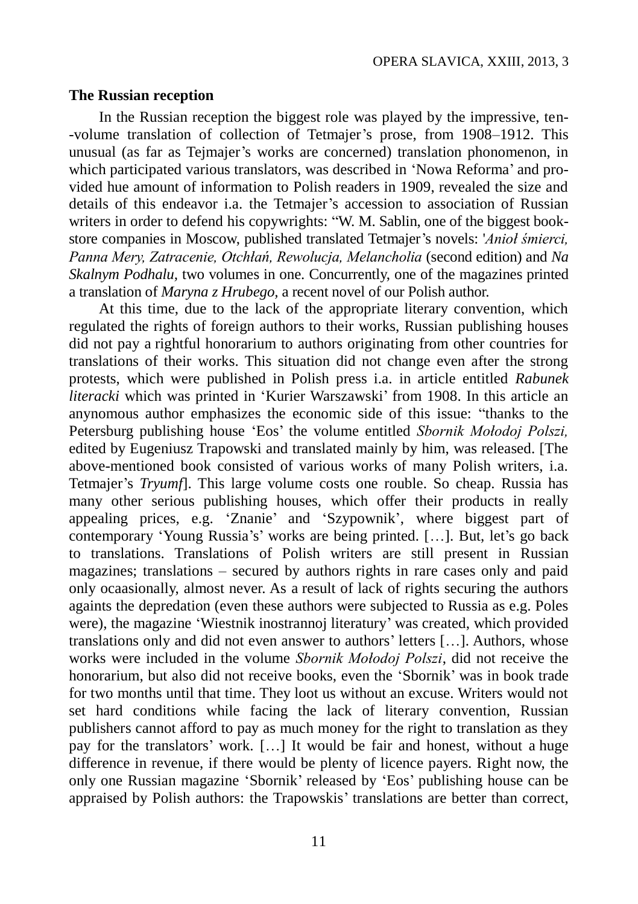### **The Russian reception**

In the Russian reception the biggest role was played by the impressive, ten- -volume translation of collection of Tetmajer's prose, from 1908–1912. This unusual (as far as Tejmajer's works are concerned) translation phonomenon, in which participated various translators, was described in 'Nowa Reforma' and provided hue amount of information to Polish readers in 1909, revealed the size and details of this endeavor i.a. the Tetmajer's accession to association of Russian writers in order to defend his copywrights: "W. M. Sablin, one of the biggest bookstore companies in Moscow, published translated Tetmajer's novels: '*Anioł śmierci, Panna Mery, Zatracenie, Otchłań, Rewolucja, Melancholia* (second edition) and *Na Skalnym Podhalu,* two volumes in one. Concurrently, one of the magazines printed a translation of *Maryna z Hrubego,* a recent novel of our Polish author.

At this time, due to the lack of the appropriate literary convention, which regulated the rights of foreign authors to their works, Russian publishing houses did not pay a rightful honorarium to authors originating from other countries for translations of their works. This situation did not change even after the strong protests, which were published in Polish press i.a. in article entitled *Rabunek literacki* which was printed in 'Kurier Warszawski' from 1908. In this article an anynomous author emphasizes the economic side of this issue: "thanks to the Petersburg publishing house 'Eos' the volume entitled *Sbornik Mołodoj Polszi,* edited by Eugeniusz Trapowski and translated mainly by him, was released. [The above-mentioned book consisted of various works of many Polish writers, i.a. Tetmajer's *Tryumf*]. This large volume costs one rouble. So cheap. Russia has many other serious publishing houses, which offer their products in really appealing prices, e.g. 'Znanie' and 'Szypownik', where biggest part of contemporary 'Young Russia's' works are being printed. […]. But, let's go back to translations. Translations of Polish writers are still present in Russian magazines; translations – secured by authors rights in rare cases only and paid only ocaasionally, almost never. As a result of lack of rights securing the authors againts the depredation (even these authors were subjected to Russia as e.g. Poles were), the magazine 'Wiestnik inostrannoj literatury' was created, which provided translations only and did not even answer to authors' letters […]. Authors, whose works were included in the volume *Sbornik Mołodoj Polszi*, did not receive the honorarium, but also did not receive books, even the 'Sbornik' was in book trade for two months until that time. They loot us without an excuse. Writers would not set hard conditions while facing the lack of literary convention, Russian publishers cannot afford to pay as much money for the right to translation as they pay for the translators' work. […] It would be fair and honest, without a huge difference in revenue, if there would be plenty of licence payers. Right now, the only one Russian magazine 'Sbornik' released by 'Eos' publishing house can be appraised by Polish authors: the Trapowskis' translations are better than correct,